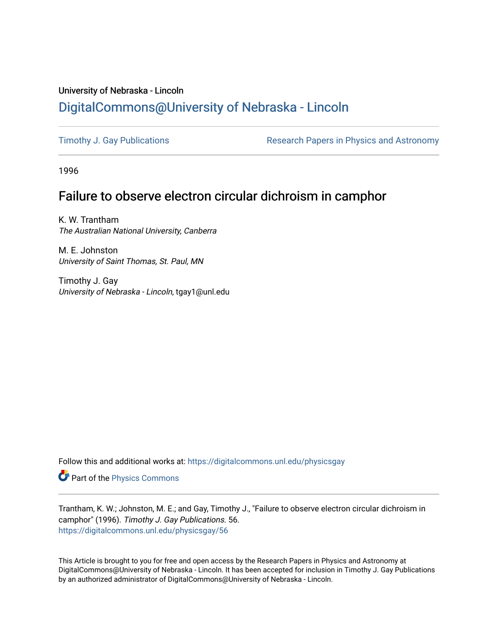# University of Nebraska - Lincoln [DigitalCommons@University of Nebraska - Lincoln](https://digitalcommons.unl.edu/)

[Timothy J. Gay Publications](https://digitalcommons.unl.edu/physicsgay) **Research Papers in Physics and Astronomy** 

1996

# Failure to observe electron circular dichroism in camphor

K. W. Trantham The Australian National University, Canberra

M. E. Johnston University of Saint Thomas, St. Paul, MN

Timothy J. Gay University of Nebraska - Lincoln, tgay1@unl.edu

Follow this and additional works at: [https://digitalcommons.unl.edu/physicsgay](https://digitalcommons.unl.edu/physicsgay?utm_source=digitalcommons.unl.edu%2Fphysicsgay%2F56&utm_medium=PDF&utm_campaign=PDFCoverPages)

Part of the [Physics Commons](http://network.bepress.com/hgg/discipline/193?utm_source=digitalcommons.unl.edu%2Fphysicsgay%2F56&utm_medium=PDF&utm_campaign=PDFCoverPages)

Trantham, K. W.; Johnston, M. E.; and Gay, Timothy J., "Failure to observe electron circular dichroism in camphor" (1996). Timothy J. Gay Publications. 56. [https://digitalcommons.unl.edu/physicsgay/56](https://digitalcommons.unl.edu/physicsgay/56?utm_source=digitalcommons.unl.edu%2Fphysicsgay%2F56&utm_medium=PDF&utm_campaign=PDFCoverPages) 

This Article is brought to you for free and open access by the Research Papers in Physics and Astronomy at DigitalCommons@University of Nebraska - Lincoln. It has been accepted for inclusion in Timothy J. Gay Publications by an authorized administrator of DigitalCommons@University of Nebraska - Lincoln.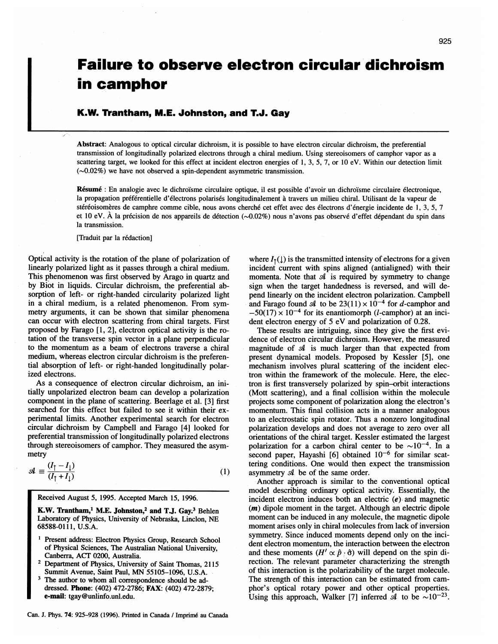# **Failure to observe electron circular dichroism in camphor**

## **K.W. Trantham, M.E. Johnston, and T.J. Gay**

Abstract: Analogous to optical circular dichroism, it is possible to have electron circular dichroism, the preferential transmission of longitudinally polarized electrons through a chiral medium. Using stereoisomers of camphor vapor as a scattering target, we looked for this effect at incident electron energies of 1, 3, 5, 7, or 10 eV. Within our detection limit  $(\sim 0.02\%)$  we have not observed a spin-dependent asymmetric transmission.

Résumé : En analogie avec le dichroïsme circulaire optique, il est possible d'avoir un dichroïsme circulaire électronique, la propagation préférentielle d'électrons polarisés longitudinalement à travers un milieu chiral. Utilisant de la vapeur de stéréoisomères de camphre comme cible, nous avons cherché cet effet avec des électrons d'énergie incidente de 1, 3, 5, 7 et 10 eV. À la précision de nos appareils de détection  $(\sim 0.02\%)$  nous n'avons pas observé d'effet dépendant du spin dans la transmission.

[Traduit par la rédaction]

Optical activity is the rotation of the plane of polarization of linearly polarized light as it passes through a chiral medium. This phenomenon was first observed by Arago in quartz and by Biot in liquids. Circular dichroism, the preferential absorption of left- or right-handed circularity polarized light in a chiral medium, is a related phenomenon. From symmetry arguments, it can be shown that similar phenomena can occur with electron scattering from chiral targets. First proposed by Farago  $[1, 2]$ , electron optical activity is the rotation of the transverse spin vector in a plane perpendicular to the momentum as a beam of electrons traverse a chiral medium, whereas electron circular dichroism is the preferential absorption of left- or right-handed longitudinally polarized electrons.

As a consequence of electron circular dichroism, an initially unpolarized electron beam can develop a polarization component in the plane of scattering. Beerlage et al. [3] first searched for this effect but failed to see it within their experimental limits. Another experimental search for electron circular dichroism by Campbell and Farago [4] looked for preferential transmission of longitudinally polarized electrons through stereoisomers of camphor. They measured the asymmetry

$$
\mathcal{A} \equiv \frac{(l_{\uparrow} - l_{\downarrow})}{(l_{\uparrow} + l_{\downarrow})} \tag{1}
$$

Received August 5, 1995. Accepted March 15, 1996.

K.W. **'kantham,' M.E. Johnston? and TJ. Gay?** Behlen Laboratory of Physics, University of Nebraska, Linclon, **NE**  68588-01 11, U.S.A.

- Present address: Electron Physics Group, Research School of Physical Sciences, The Australian National University,
- Department of Physics, University of Saint Thomas, 2115 Summit Avenue, Saint Paul, **MN** 55105-1096, U.S.A.
- The author to whom all correspondence should be addressed. **Phone:** (402) 472-2786; **FAX:** (402) 472-2879; **e-mail:** tgay@unlinfo.unl.edu.

Can. J. Phys. 74: 925-928 (1996). Printed in Canada / Imprimé au Canada

where  $I_t(1)$  is the transmitted intensity of electrons for a given incident current with spins aligned (antialigned) with their momenta. Note that  $A$  is required by symmetry to change sign when the target handedness is reversed, and will depend linearly on the incident electron polarization. Campbell and Farago found  $\mathcal A$  to be 23(11)  $\times$  10<sup>-4</sup> for *d*-camphor and  $-50(17) \times 10^{-4}$  for its enantiomorph (*l*-camphor) at an incident electron energy of 5 eV and polarization of 0.28.

These results are intriguing, since they give the first evidence of electron circular dichroism. However. the measured magnitude of **d** is much larger than that expected from present dynamical models. Proposed by Kessler [5], one mechanism involves plural scattering of the incident electron within the framework of the molecule. Here, the electron is first transversely polarized by spin-orbit interactions (Mott scattering), and a final collision within the molecule projects some component of polarization along the electron's momentum. This final collision acts in a manner analogous to an electrostatic spin rotator. Thus a nonzero longitudinal polarization develops and does not average to zero over all orientations of the chiral target. Kessler estimated the largest polarization for a carbon chiral center to be  $\sim 10^{-4}$ . In a second paper, Hayashi [6] obtained  $10^{-6}$  for similar scattering conditions. One would then expect the transmission asymmetry **d** be of the same order.

Another approach is similar to the conventional optical model describing ordinary optical activity. Essentially, the incident electron induces both an electric **(e)** and magnetic **(m)** dipole moment in the target. Although an electric dipole moment can be induced in any molecule, the magnetic dipole moment arises only in chiral molecules from lack of inversion symmetry. Since induced moments depend only on the incident electron momentum, the interaction between the electron and these moments  $(H' \propto \hat{p} \cdot \hat{\sigma})$  will depend on the spin direction. The relevant parameter characterizing the strength of this interaction is the polarizability of the target molecule. The strength of this interaction can be estimated from camphor's optical rotary power and other optical properties. Using this approach, Walker [7] inferred  $\mathcal{A}$  to be  $\sim 10^{-23}$ .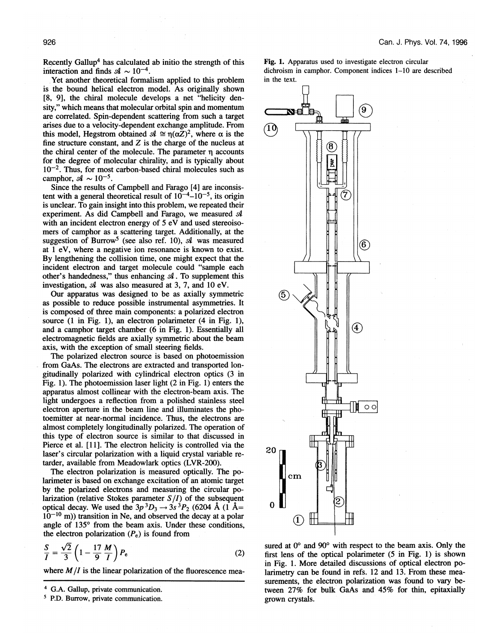Recently Gallup<sup>4</sup> has calculated ab initio the strength of this interaction and finds  $\mathcal{A} \sim 10^{-4}$ .

Yet another theoretical formalism applied to this problem is the bound helical electron model. As originally shown **[8, 91,** the chiral molecule develops a net "helicity density," which means that molecular orbital spin and momentum are correlated. Spin-dependent scattering from such a target arises due to a velocity-dependent exchange amplitude. From this model, Hegstrom obtained  $\mathcal{A} \cong \eta(\alpha Z)^2$ , where  $\alpha$  is the fine structure constant, and *Z* is the charge of the nucleus at the chiral center of the molecule. The parameter  $\eta$  accounts for the degree of molecular chirality, and is typically about  $10^{-2}$ . Thus, for most carbon-based chiral molecules such as camphor,  $\mathcal{A} \sim 10^{-5}$ .

Since the results of Campbell and Farago [4] are inconsistent with a general theoretical result of  $10^{-4}$ – $10^{-5}$ , its origin is unclear. To gain insight into this problem, we repeated their experiment. As did Campbell and Farago, we measured **d**  with an incident electron energy of 5 eV and used stereoisomers of camphor as a scattering target. Additionally, at the suggestion of Burrow<sup>5</sup> (see also ref. 10),  $\mathcal A$  was measured at 1 eV, where a negative ion resonance is known to exist. By lengthening the collision time, one might expect that the incident electron and target molecule could "sample each other's handedness," thus enhancing **d.** To supplement this investigation, **d** was also measured at 3, 7, and 10 eV.

Our apparatus was designed to be as axially symmetric as possible to reduce possible instrumental asymmetries. It is composed of three main components: a polarized electron source (1 in Fig. 1), an electron polarimeter (4 in Fig. 1), and a camphor target chamber (6 in Fig. 1). Essentially all electromagnetic fields are axially symmetric about the beam axis, with the exception of small steering fields.

The polarized electron source is based on photoemission from GaAs. The electrons are extracted and transported longitudinally polarized with cylindrical electron optics (3 in Fig. 1). The photoemission laser light (2 in Fig. 1) enters the apparatus almost collinear with the electron-beam axis. The light undergoes a reflection from a polished stainless steel electron aperture in the beam line and illuminates the photoemitter at near-normal incidence. Thus, the electrons are almost completely longitudinally polarized. The operation of this type of electron source is similar to that discussed in Pierce et al. [11]. The electron helicity is controlled via the laser's circular polarization with a liquid crystal variable retarder, available from Meadowlark optics (LVR-200).

The electron polarization is measured optically. The polarimeter is based on exchange excitation of an atomic target by the polarized electrons and measuring the circular polarization (relative Stokes parameter  $S/I$ ) of the subsequent optical decay. We used the  $3p^3D_3 \rightarrow 3s^3P_2$  (6204 Å (1 Å=  $10^{-10}$  m)) transition in Ne, and observed the decay at a polar angle of 135° from the beam axis. Under these conditions, the electron polarization  $(P_e)$  is found from

$$
\frac{S}{I} = \frac{\sqrt{2}}{3} \left( 1 - \frac{17}{9} \frac{M}{I} \right) P_e \tag{2}
$$

where *M/I* is the linear polarization of the fluorescence mea-





sured at  $0^{\circ}$  and  $90^{\circ}$  with respect to the beam axis. Only the first lens of the optical polarimeter (5 in Fig. 1) is shown in Fig. 1. More detailed discussions of optical electron polarimetry can be found in refs. 12 and 13. From these measurements, the electron polarization was found to vary between 27% for bulk GaAs and 45% for thin, epitaxially grown crystals.

G.A. Gallup, private communication.

**P.D.** Burrow, private communication.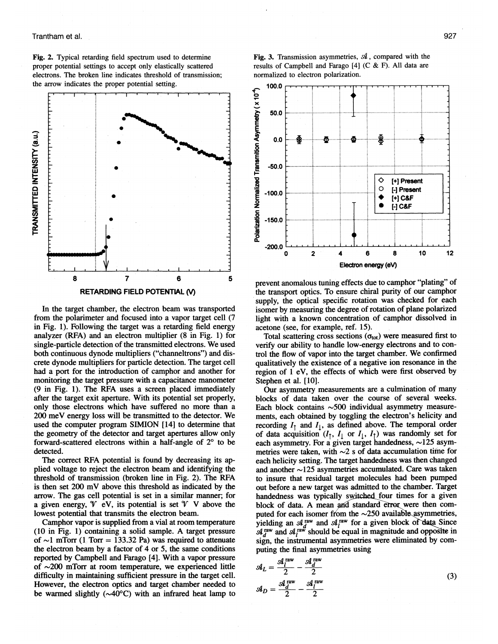#### Trantham et al.

**Fig. 2.** Typical retarding field spectrum used to determine proper potential settings to accept only elastically scattered electrons. The broken line indicates threshold of transmission; the arrow indicates the proper potential setting.



In the target chamber, the electron beam was transported from the polarimeter and focused into a vapor target cell (7 in Fig. 1). Following the target was a retarding field energy analyzer (RFA) and an electron multiplier (8 in Fig. 1) for single-particle detection of the transmitted electrons. We used both continuous dynode multipliers ("channeltrons") and discrete dynode multipliers for particle detection. The target cell had a port for the introduction of camphor and another for monitoring the target pressure with a capacitance manometer (9 in Fig. 1). The RFA uses a screen placed immediately after the target exit aperture. With its potential set properly, only those electrons which have suffered no more than a 200 meV energy loss will be transmitted to the detector. We used the computer program SIMION [14] to determine that the geometry of the detector and target apertures allow only forward-scattered electrons within a half-angle of  $2^{\circ}$  to be detected.

The correct **RFA** potential is found by decreasing its applied voltage to reject the electron beam and identifying the threshold of transmission (broken line in Fig. 2). The RFA is then set 200 mV above this threshold as indicated by the arrow. The gas cell potential is set in a similar manner; for a given energy,  $\mathcal V$  eV, its potential is set  $\mathcal V$  V above the lowest potential that transmits the electron beam.

Camphor vapor is supplied from a vial at room temperature (10 in Fig. 1) containing a solid sample. **A** target pressure of  $\sim$ 1 mTorr (1 Torr = 133.32 Pa) was required to attenuate the electron beam by a factor of 4 or 5, the same conditions reported by Campbell and Farago [4]. With a vapor pressure of  $\sim$ 200 mTorr at room temperature, we experienced little difficulty in maintaining sufficient pressure in the target cell. However, the electron optics and target chamber needed to be warmed slightly  $(\sim 40^{\circ}C)$  with an infrared heat lamp to

**Fig. 3.** Transmission asymmetries, **d,** compared with the results of Campbell and Farago [4] (C & F). All data are normalized to electron polarization.



prevent anomalous tuning effects due to camphor "plating" of the transport optics. To ensure chiral purity of our camphor supply, the optical specific rotation was checked for each isomer by measuring the degree of rotation of plane polarized light with a known concentration of camphor dissolved in acetone (see, for example, ref. 15).

Total scattering cross sections  $(\sigma_{\text{tot}})$  were measured first to verify our ability to handle low-energy electrons and to control the flow of vapor into the target chamber. We confirmed qualitatively the existence of a negative ion resonance in the region of 1 eV, the effects of which were first observed by Stephen et al. [10].

Our asymmetry measurements are a culmination of many blocks of data taken over the course of several weeks. Each block contains  $\sim$  500 individual asymmetry measurements, each obtained by toggling the electron's helicity and recording  $I_1$  and  $I_1$ , as defined above. The temporal order of data acquisition  $(I_1, I_1$  or  $I_1, I_1)$  was randomly set for each asymmetry. For a given target handedness,  $\sim$ 125 asymmetries were taken, with  $\sim$ 2 s of data accumulation time for each helicity setting. The target handedness was then changed and another  $\sim$ 125 asymmetries accumulated. Care was taken to insure that residual target molecules had been pumped out before a new target was admitted to the chamber. Target block of data. A mean and standard error were then computed for each isomer from the  $\sim$ 250 available asymmetries, yielding an  $\mathcal{A}_d^{\text{raw}}$  and  $\mathcal{A}_l^{\text{raw}}$  for a given block of data Since  $\mathcal{A}_d^{\text{raw}}$  and  $\mathcal{A}_l^{\text{raw}}$  should be equal in magnitude and opposite in sign, the instrumental asymmetries were eliminated by computing the final asymmetries using

$$
\mathcal{A}_{L} = \frac{\mathcal{A}_{I}^{\text{raw}}}{2} - \frac{\mathcal{A}_{d}^{\text{raw}}}{2}
$$
\n
$$
\mathcal{A}_{D} = \frac{\mathcal{A}_{I}^{\text{raw}}}{2} - \frac{\mathcal{A}_{I}^{\text{raw}}}{2}
$$
\n(3)